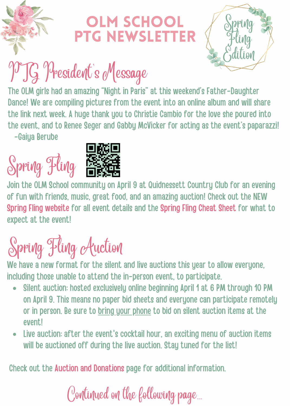

#### **IM SCHOOL** PTG NEwsletter



# PTG President's Message

The OLM girls had an amazing "Night in Paris" at this weekend's Father-Daughter Dance! We are compiling pictures from the event into an online album and will share the link next week. A huge thank you to Christie Cambio for the love she poured into the event, and to Renee Seger and Gabby McVicker for acting as the event's paparazzi! -Gaiya Berube

# Spring Fling



Join the OLM School community on April 9 at Quidnessett Country Club for an evening of fun with friends, music, great food, and an amazing auction! Check out the NEW Spring Fling [website](http://www.olmspringfling.com/) for all event details and the [Spring](https://olmspringfling.com/spring-fling-cheat-sheet) Fling Cheat Sheet for what to expect at the event!

### Spring Fling Auction

We have a new format for the silent and live auctions this year to allow everyone, including those unable to attend the in-person event, to participate.

- Silent auction: hosted exclusively online beginning April 1 at 6 PM through 10 PM on April 9. This means no paper bid sheets and everyone can participate remotely or in person. Be sure to bring your phone to bid on silent auction items at the event!
- Live auction: after the event's cocktail hour, an exciting menu of auction items will be auctioned off during the live auction. Stay tuned for the list!

Check out the Auction and [Donations](https://olmspringfling.com/auctionanddonations) page for additional information.

Continued on the following page...